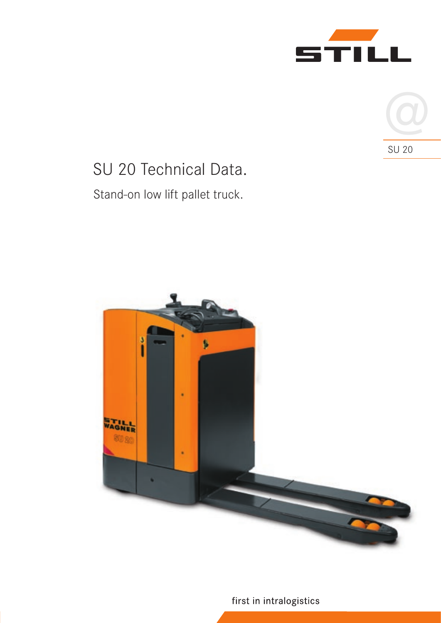



# SU 20 Technical Data. Stand-on low lift pallet truck.



first in intralogistics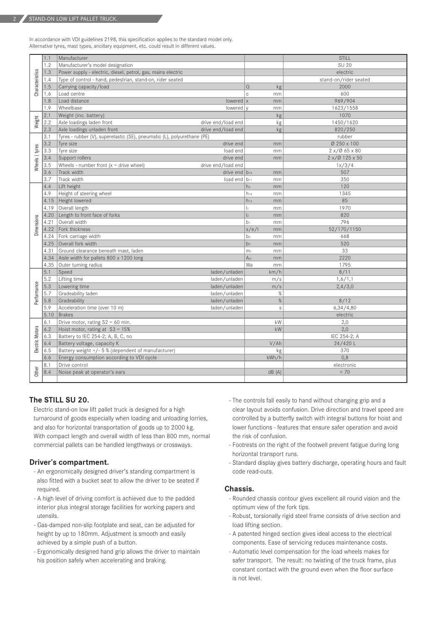2

In accordance with VDI guidelines 2198, this specification applies to the standard model only. Alternative tyres, mast types, ancillary equipment, etc. could result in different values.

|                 | 1.1  | Manufacturer                                                            |                            | <b>STILL</b>          |
|-----------------|------|-------------------------------------------------------------------------|----------------------------|-----------------------|
| Characteristics | 1.2  | Manufacturer's model designation                                        |                            | SU 20                 |
|                 | 1.3  | Power supply - electric, diesel, petrol, gas, mains electric            |                            | electric              |
|                 | 1.4  | Type of control - hand, pedestrian, stand-on, rider seated              |                            | stand-on/rider seated |
|                 | 1.5  | Carrying capacity/load                                                  | $\Omega$<br>kg             | 2000                  |
|                 | 1.6  | Load centre                                                             | $\mathsf{C}$<br>mm         | 600                   |
|                 | 1.8  | Load distance<br>lowered $x$                                            | mm                         | 969/904               |
|                 | 1.9  | Wheelbase<br>lowered v                                                  | mm                         | 1623/1558             |
| Weight          | 2.1  | Weight (inc. battery)                                                   | kg                         | 1070                  |
|                 | 2.2  | Axle loadings laden front<br>drive end/load end                         | kg                         | 1450/1620             |
|                 | 2.3  | Axle loadings unladen front<br>drive end/load end                       | kg                         | 820/250               |
| Wheels   tyres  | 3.1  | Tyres - rubber (V), superelastic (SE), pneumatic (L), polyurethane (PE) |                            | rubber                |
|                 | 3.2  | Tyre size<br>drive end                                                  | mm                         | Ø 250 x 100           |
|                 | 3.3  | Tyre size<br>load end                                                   | mm                         | 2 x / 0 65 x 80       |
|                 | 3.4  | Support rollers<br>drive end                                            | mm                         | 2 x/Ø 125 x 50        |
|                 | 3.5  | Wheels - number front $(x =$ drive wheel)<br>drive end/load end         |                            | 1x/3/4                |
|                 | 3.6  | Track width<br>drive end $ b_{10} $                                     | mm                         | 507                   |
|                 | 3.7  | Track width<br>load end $ b_{11} $                                      | mm                         | 350                   |
| Dimensions      | 4.4  | Lift height                                                             | h <sub>3</sub><br>mm       | 120                   |
|                 | 4.9  | Height of steering wheel                                                | $h_{14}$<br>mm             | 1345                  |
|                 |      | 4.15   Height lowered                                                   | $h_{13}$<br>mm             | 85                    |
|                 | 4.19 | Overall length                                                          | $\mathbf{I}$<br>mm         | 1970                  |
|                 | 4.20 | Length to front face of forks                                           | $\vert$ <sub>2</sub><br>mm | 820                   |
|                 | 4.21 | Overall width                                                           | b <sub>1</sub><br>mm       | 796                   |
|                 | 4.22 | Fork thickness                                                          | s/e/l<br>mm                | 52/170/1150           |
|                 | 4.24 | Fork carriage width                                                     | b <sub>3</sub><br>mm       | 668                   |
|                 |      | 4.25 Overall fork width                                                 | b <sub>5</sub><br>mm       | 520                   |
|                 | 4.31 | Ground clearance beneath mast, laden                                    | m <sub>1</sub><br>mm       | 33                    |
|                 | 4.34 | Aisle width for pallets 800 x 1200 long                                 | A <sub>st</sub><br>mm      | 2220                  |
|                 | 4.35 | Outer turning radius                                                    | Wa<br>mm                   | 1795                  |
| Performance     | 5.1  | Speed<br>laden/unladen                                                  | km/h                       | 8/11                  |
|                 | 5.2  | Lifting time<br>laden/unladen                                           | m/s                        | 1,6/1,1               |
|                 | 5.3  | Lowering time<br>laden/unladen                                          | m/s                        | 2,4/3,0               |
|                 | 5.7  | Gradeability laden<br>laden/unladen                                     | $\%$                       |                       |
|                 | 5.8  | Gradeability<br>laden/unladen                                           | $\%$                       | 8/12                  |
|                 | 5.9  | Acceleration time (over 10 m)<br>laden/unladen                          | S                          | 6,34/4,80             |
|                 | 5.10 | Brakes                                                                  |                            | electric              |
| Electric Motors | 6.1  | Drive motor, rating $S2 = 60$ min.                                      | kW                         | 2,0                   |
|                 | 6.2  | Hoist motor, rating at $S3 = 15%$                                       | kW                         | 2,0                   |
|                 | 6.3  | Battery to IEC 254-2; A, B, C, no                                       |                            | IEC 254-2; A          |
|                 | 6.4  | Battery voltage, capacity K                                             | V/Ah                       | 24/420L               |
|                 | 6.5  | Battery weight +/- 5 % (dependent of manufacturer)                      | kg                         | 370                   |
|                 | 6.6  | Energy consumption according to VDI cycle                               | kWh/h                      | 0,8                   |
| Other           | 8.1  | Drive control                                                           |                            | electronic            |
|                 | 8.4  | Noise peak at operator's ears                                           | dB(A)                      | < 70                  |
|                 |      |                                                                         |                            |                       |

### **The STILL SU 20.**

Electric stand-on low lift pallet truck is designed for a high turnaround of goods especially when loading and unloading lorries, and also for horizontal transportation of goods up to 2000 kg. With compact length and overall width of less than 800 mm, normal commercial pallets can be handled lengthways or crossways.

#### **Driver's compartment.**

- An ergonomically designed driver's standing compartment is also fitted with a bucket seat to allow the driver to be seated if required.
- A high level of driving comfort is achieved due to the padded interior plus integral storage facilities for working papers and utensils.
- Gas-damped non-slip footplate and seat, can be adjusted for height by up to 180mm. Adjustment is smooth and easily achieved by a simple push of a button.
- Ergonomically designed hand grip allows the driver to maintain his position safely when accelerating and braking.
- The controls fall easily to hand without changing grip and a clear layout avoids confusion. Drive direction and travel speed are controlled by a butterfly switch with integral buttons for hoist and lower functions - features that ensure safer operation and avoid the risk of confusion.
- Footrests on the right of the footwell prevent fatigue during long horizontal transport runs.
- Standard display gives battery discharge, operating hours and fault code read-outs.

#### **Chassis.**

- Rounded chassis contour gives excellent all round vision and the optimum view of the fork tips.
- Robust, torsionally rigid steel frame consists of drive section and load lifting section.
- A patented hinged section gives ideal access to the electrical components. Ease of servicing reduces maintenance costs.
- Automatic level compensation for the load wheels makes for safer transport. The result: no twisting of the truck frame, plus constant contact with the ground even when the floor surface is not level.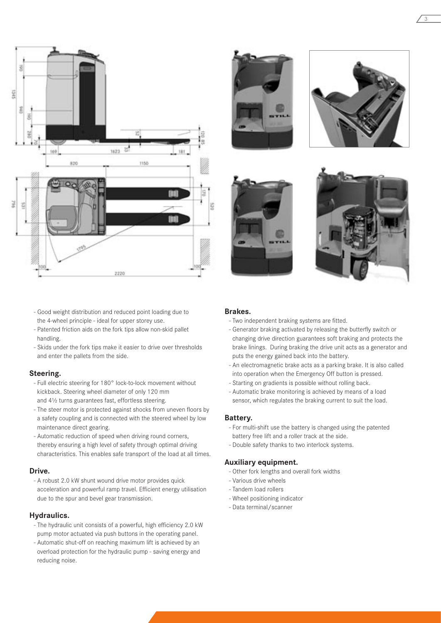

- Good weight distribution and reduced point loading due to the 4-wheel principle - ideal for upper storey use.
- Patented friction aids on the fork tips allow non-skid pallet handling.
- Skids under the fork tips make it easier to drive over thresholds and enter the pallets from the side.

#### **Steering.**

- Full electric steering for 180° lock-to-lock movement without kickback. Steering wheel diameter of only 120 mm and 4½ turns guarantees fast, effortless steering.
- The steer motor is protected against shocks from uneven floors by a safety coupling and is connected with the steered wheel by low maintenance direct gearing.
- Automatic reduction of speed when driving round corners, thereby ensuring a high level of safety through optimal driving characteristics. This enables safe transport of the load at all times.

#### **Drive.**

- A robust 2.0 kW shunt wound drive motor provides quick acceleration and powerful ramp travel. Efficient energy utilisation due to the spur and bevel gear transmission.

#### **Hydraulics.**

- The hydraulic unit consists of a powerful, high efficiency 2.0 kW pump motor actuated via push buttons in the operating panel.
- Automatic shut-off on reaching maximum lift is achieved by an overload protection for the hydraulic pump - saving energy and reducing noise.





3





#### **Brakes.**

- Two independent braking systems are fitted.
- Generator braking activated by releasing the butterfly switch or changing drive direction guarantees soft braking and protects the brake linings. During braking the drive unit acts as a generator and puts the energy gained back into the battery.
- An electromagnetic brake acts as a parking brake. It is also called into operation when the Emergency Off button is pressed.
- Starting on gradients is possible without rolling back.
- Automatic brake monitoring is achieved by means of a load sensor, which regulates the braking current to suit the load.

#### **Battery.**

- For multi-shift use the battery is changed using the patented battery free lift and a roller track at the side.
- Double safety thanks to two interlock systems.

#### **Auxiliary equipment.**

- Other fork lengths and overall fork widths
- Various drive wheels
- Tandem load rollers
- Wheel positioning indicator
- Data terminal/scanner